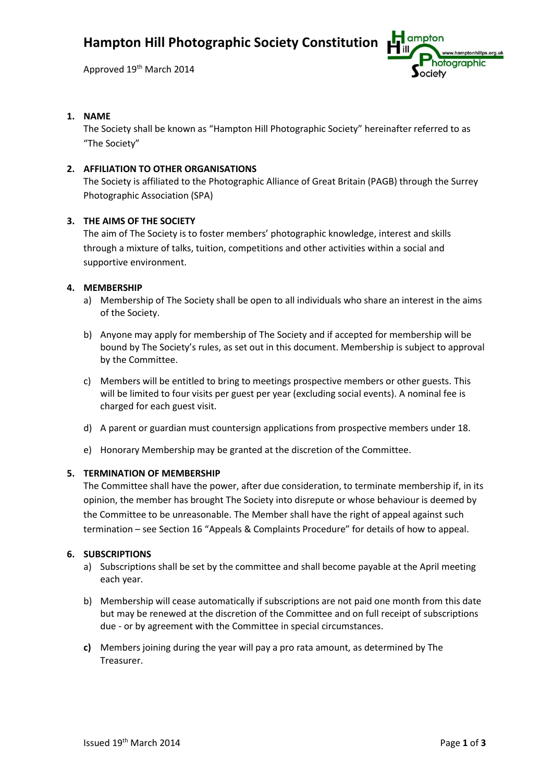Approved 19<sup>th</sup> March 2014



## **1. NAME**

The Society shall be known as "Hampton Hill Photographic Society" hereinafter referred to as "The Society"

# **2. AFFILIATION TO OTHER ORGANISATIONS**

The Society is affiliated to the Photographic Alliance of Great Britain (PAGB) through the Surrey Photographic Association (SPA)

## **3. THE AIMS OF THE SOCIETY**

The aim of The Society is to foster members' photographic knowledge, interest and skills through a mixture of talks, tuition, competitions and other activities within a social and supportive environment.

#### **4. MEMBERSHIP**

- a) Membership of The Society shall be open to all individuals who share an interest in the aims of the Society.
- b) Anyone may apply for membership of The Society and if accepted for membership will be bound by The Society's rules, as set out in this document. Membership is subject to approval by the Committee.
- c) Members will be entitled to bring to meetings prospective members or other guests. This will be limited to four visits per guest per year (excluding social events). A nominal fee is charged for each guest visit.
- d) A parent or guardian must countersign applications from prospective members under 18.
- e) Honorary Membership may be granted at the discretion of the Committee.

## **5. TERMINATION OF MEMBERSHIP**

The Committee shall have the power, after due consideration, to terminate membership if, in its opinion, the member has brought The Society into disrepute or whose behaviour is deemed by the Committee to be unreasonable. The Member shall have the right of appeal against such termination – see Section 16 "Appeals & Complaints Procedure" for details of how to appeal.

## **6. SUBSCRIPTIONS**

- a) Subscriptions shall be set by the committee and shall become payable at the April meeting each year.
- b) Membership will cease automatically if subscriptions are not paid one month from this date but may be renewed at the discretion of the Committee and on full receipt of subscriptions due - or by agreement with the Committee in special circumstances.
- **c)** Members joining during the year will pay a pro rata amount, as determined by The Treasurer.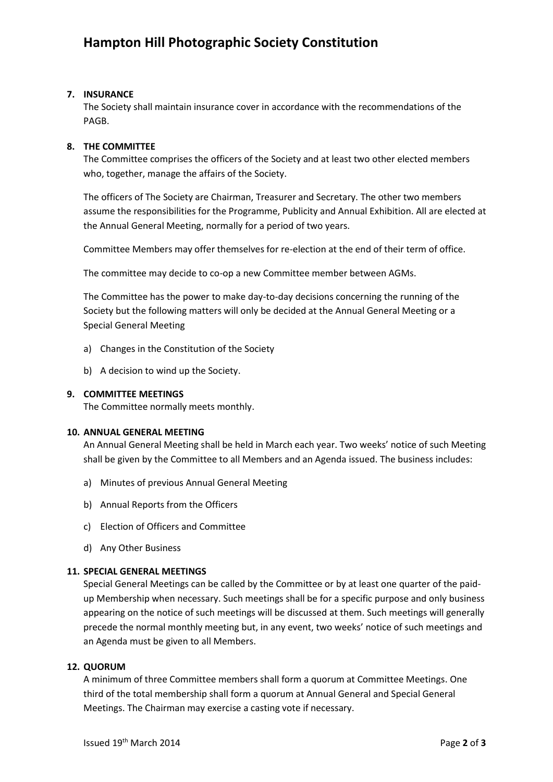# **7. INSURANCE**

The Society shall maintain insurance cover in accordance with the recommendations of the PAGB.

## **8. THE COMMITTEE**

The Committee comprises the officers of the Society and at least two other elected members who, together, manage the affairs of the Society.

The officers of The Society are Chairman, Treasurer and Secretary. The other two members assume the responsibilities for the Programme, Publicity and Annual Exhibition. All are elected at the Annual General Meeting, normally for a period of two years.

Committee Members may offer themselves for re-election at the end of their term of office.

The committee may decide to co-op a new Committee member between AGMs.

The Committee has the power to make day-to-day decisions concerning the running of the Society but the following matters will only be decided at the Annual General Meeting or a Special General Meeting

- a) Changes in the Constitution of the Society
- b) A decision to wind up the Society.

#### **9. COMMITTEE MEETINGS**

The Committee normally meets monthly.

#### **10. ANNUAL GENERAL MEETING**

An Annual General Meeting shall be held in March each year. Two weeks' notice of such Meeting shall be given by the Committee to all Members and an Agenda issued. The business includes:

- a) Minutes of previous Annual General Meeting
- b) Annual Reports from the Officers
- c) Election of Officers and Committee
- d) Any Other Business

## **11. SPECIAL GENERAL MEETINGS**

Special General Meetings can be called by the Committee or by at least one quarter of the paidup Membership when necessary. Such meetings shall be for a specific purpose and only business appearing on the notice of such meetings will be discussed at them. Such meetings will generally precede the normal monthly meeting but, in any event, two weeks' notice of such meetings and an Agenda must be given to all Members.

## **12. QUORUM**

A minimum of three Committee members shall form a quorum at Committee Meetings. One third of the total membership shall form a quorum at Annual General and Special General Meetings. The Chairman may exercise a casting vote if necessary.